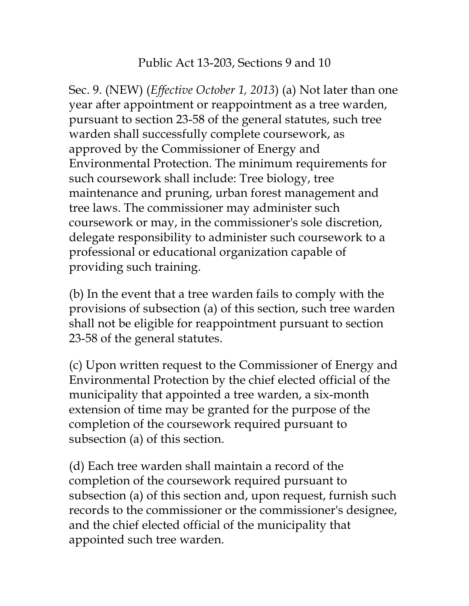## Public Act 13-203, Sections 9 and 10

Sec. 9. (NEW) (*Effective October 1, 2013*) (a) Not later than one year after appointment or reappointment as a tree warden, pursuant to section 23-58 of the general statutes, such tree warden shall successfully complete coursework, as approved by the Commissioner of Energy and Environmental Protection. The minimum requirements for such coursework shall include: Tree biology, tree maintenance and pruning, urban forest management and tree laws. The commissioner may administer such coursework or may, in the commissioner's sole discretion, delegate responsibility to administer such coursework to a professional or educational organization capable of providing such training.

(b) In the event that a tree warden fails to comply with the provisions of subsection (a) of this section, such tree warden shall not be eligible for reappointment pursuant to section 23-58 of the general statutes.

(c) Upon written request to the Commissioner of Energy and Environmental Protection by the chief elected official of the municipality that appointed a tree warden, a six-month extension of time may be granted for the purpose of the completion of the coursework required pursuant to subsection (a) of this section.

(d) Each tree warden shall maintain a record of the completion of the coursework required pursuant to subsection (a) of this section and, upon request, furnish such records to the commissioner or the commissioner's designee, and the chief elected official of the municipality that appointed such tree warden.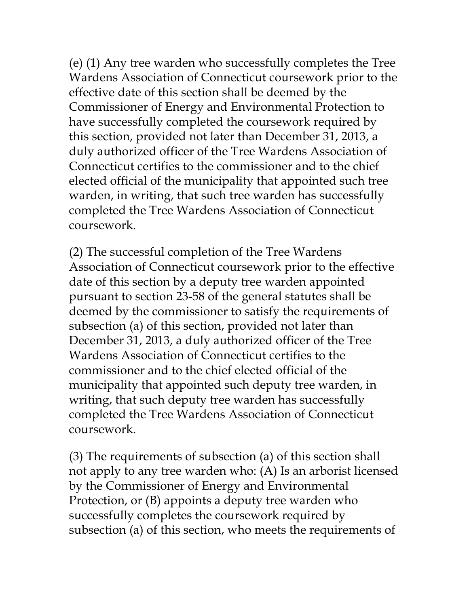(e) (1) Any tree warden who successfully completes the Tree Wardens Association of Connecticut coursework prior to the effective date of this section shall be deemed by the Commissioner of Energy and Environmental Protection to have successfully completed the coursework required by this section, provided not later than December 31, 2013, a duly authorized officer of the Tree Wardens Association of Connecticut certifies to the commissioner and to the chief elected official of the municipality that appointed such tree warden, in writing, that such tree warden has successfully completed the Tree Wardens Association of Connecticut coursework.

(2) The successful completion of the Tree Wardens Association of Connecticut coursework prior to the effective date of this section by a deputy tree warden appointed pursuant to section 23-58 of the general statutes shall be deemed by the commissioner to satisfy the requirements of subsection (a) of this section, provided not later than December 31, 2013, a duly authorized officer of the Tree Wardens Association of Connecticut certifies to the commissioner and to the chief elected official of the municipality that appointed such deputy tree warden, in writing, that such deputy tree warden has successfully completed the Tree Wardens Association of Connecticut coursework.

(3) The requirements of subsection (a) of this section shall not apply to any tree warden who: (A) Is an arborist licensed by the Commissioner of Energy and Environmental Protection, or (B) appoints a deputy tree warden who successfully completes the coursework required by subsection (a) of this section, who meets the requirements of